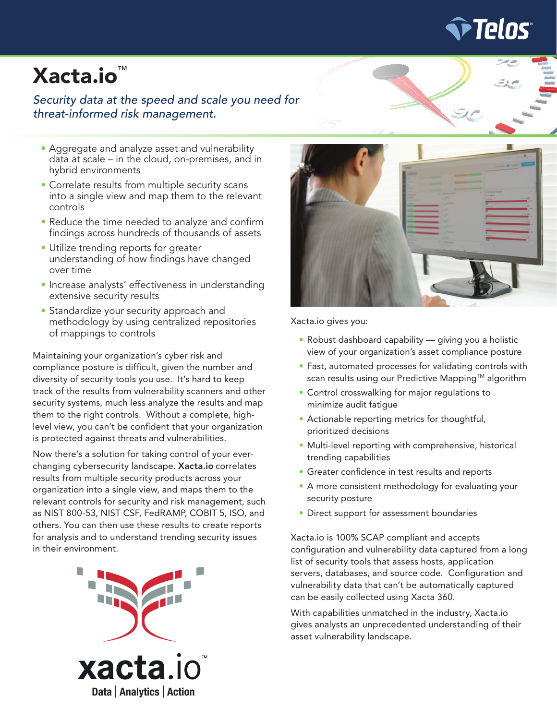

# Xacta.io™

### *Security data at the speed and scale you need for threat-informed risk management.*

- Aggregate and analyze asset and vulnerability data at scale – in the cloud, on-premises, and in hybrid environments
- Correlate results from multiple security scans into a single view and map them to the relevant controls
- Reduce the time needed to analyze and confirm findings across hundreds of thousands of assets
- Utilize trending reports for greater understanding of how findings have changed over time
- Increase analysts' effectiveness in understanding extensive security results
- Standardize your security approach and methodology by using centralized repositories of mappings to controls

Maintaining your organization's cyber risk and compliance posture is difficult, given the number and diversity of security tools you use. It's hard to keep track of the results from vulnerability scanners and other security systems, much less analyze the results and map them to the right controls. Without a complete, highlevel view, you can't be confident that your organization is protected against threats and vulnerabilities.

Now there's a solution for taking control of your everchanging cybersecurity landscape. Xacta.io correlates results from multiple security products across your organization into a single view, and maps them to the relevant controls for security and risk management, such as NIST 800-53, NIST CSF, FedRAMP, COBIT 5, ISO, and others. You can then use these results to create reports for analysis and to understand trending security issues in their environment.





Xacta.io gives you:

- Robust dashboard capability giving you a holistic view of your organization's asset compliance posture
- Fast, automated processes for validating controls with scan results using our Predictive Mapping™ algorithm
- Control crosswalking for major regulations to minimize audit fatigue
- Actionable reporting metrics for thoughtful, prioritized decisions
- Multi-level reporting with comprehensive, historical trending capabilities
- Greater confidence in test results and reports
- A more consistent methodology for evaluating your security posture
- Direct support for assessment boundaries

Xacta.io is 100% SCAP compliant and accepts configuration and vulnerability data captured from a long list of security tools that assess hosts, application servers, databases, and source code. Configuration and vulnerability data that can't be automatically captured can be easily collected using Xacta 360.

With capabilities unmatched in the industry, Xacta.io gives analysts an unprecedented understanding of their asset vulnerability landscape.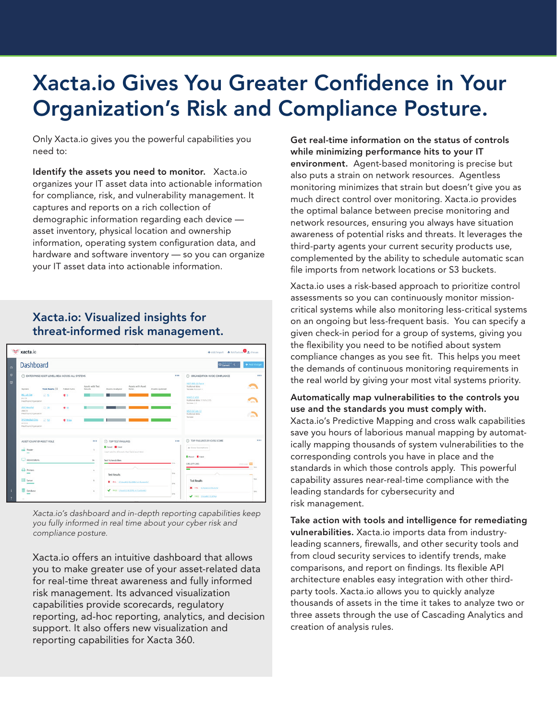# Xacta.io Gives You Greater Confidence in Your Organization's Risk and Compliance Posture.

Only Xacta.io gives you the powerful capabilities you need to:

Identify the assets you need to monitor. Xacta.io organizes your IT asset data into actionable information for compliance, risk, and vulnerability management. It captures and reports on a rich collection of demographic information regarding each device asset inventory, physical location and ownership information, operating system configuration data, and hardware and software inventory — so you can organize your IT asset data into actionable information.

# Xacta.io: Visualized insights for threat-informed risk management.

| Dashboard                                                |                                                         |              |                                                                                  |                              |                                                                 |                |                                                |                                                           | $+$ Add Viridge |
|----------------------------------------------------------|---------------------------------------------------------|--------------|----------------------------------------------------------------------------------|------------------------------|-----------------------------------------------------------------|----------------|------------------------------------------------|-----------------------------------------------------------|-----------------|
|                                                          |                                                         |              |                                                                                  |                              |                                                                 |                |                                                |                                                           |                 |
|                                                          | <b>C ENTERPRISE ASSET LEVEL VIEW ACROSS ALL SYSTEMS</b> |              |                                                                                  |                              |                                                                 |                | $\cdots$                                       | C ORGANIZATION-WIDE COMPLIANCE                            | ---             |
| System                                                   | <b>Total Assets 11</b>                                  | Falled Vulns | Assets with Test.<br>Results                                                     | Assets Analyzed              | Assets with Asset<br>Roles.                                     | Assets Updated |                                                | NST 800-53 Rock<br>Published data:<br>Werslook Revision & | P.              |
| 93 Life Site<br>90.23<br><b>Helfvore Organizion</b>      | 以降                                                      | 東京           |                                                                                  |                              |                                                                 |                |                                                | MARS EVER<br>Published date: 10 NOV 2015<br>Warsley: 1.0  | c               |
| ARCHMORA<br>ABC123<br>Healthcare Organization            | 足器                                                      | 東北           |                                                                                  |                              |                                                                 |                |                                                | NIST CSF Vin 13<br>Published date:<br><b>Version</b>      |                 |
| 332 Medical Clinic<br>MYPO'S<br>Healthcare Origanization | $-12.50$                                                | <b># 359</b> |                                                                                  | п                            |                                                                 |                |                                                |                                                           |                 |
| $100 - 100$<br>ASSET COUNT BY ASSET ROLE                 |                                                         |              |                                                                                  | <b>C TOP TEST FAILURES</b>   |                                                                 |                |                                                | (1) TOP FAILURES BY CVSS SCORE                            |                 |
| $\frac{1}{2}$ Pader<br>$\alpha$                          |                                                         |              | <b>B</b> Parset <b>B</b> Falset<br>Count and in of Assure that faried each test. |                              |                                                                 |                | @ Show Descriptions                            |                                                           |                 |
| Violetations<br>n.                                       |                                                         |              | Text Volnerabilities                                                             |                              |                                                                 | To Che         | <b>Minimal Minimal</b><br><b>CVE-2011-34EL</b> | <b>Continent</b>                                          |                 |
| ₽<br><b>Ninters</b><br>$\Delta_{\rm c}$                  |                                                         |              | <b>Test Results</b>                                                              |                              |                                                                 | Sets.          | −                                              |                                                           |                 |
|                                                          | Server<br>$\alpha$                                      |              |                                                                                  | K Rt. Chung Scotlass Gallery |                                                                 |                | $50\%$                                         | <b>Test Results</b><br>X PA GAMOLONICAL                   | 508             |
|                                                          |                                                         |              |                                                                                  |                              | <b>V</b> IRIS: 2 Aparticular, 1996 in Cantorski<br><b>Selle</b> |                |                                                |                                                           |                 |

*Xacta.io's dashboard and in-depth reporting capabilities keep you fully informed in real time about your cyber risk and compliance posture.*

Xacta.io offers an intuitive dashboard that allows you to make greater use of your asset-related data for real-time threat awareness and fully informed risk management. Its advanced visualization capabilities provide scorecards, regulatory reporting, ad-hoc reporting, analytics, and decision support. It also offers new visualization and reporting capabilities for Xacta 360.

Get real-time information on the status of controls while minimizing performance hits to your IT environment. Agent-based monitoring is precise but also puts a strain on network resources. Agentless monitoring minimizes that strain but doesn't give you as much direct control over monitoring. Xacta.io provides the optimal balance between precise monitoring and network resources, ensuring you always have situation awareness of potential risks and threats. It leverages the third-party agents your current security products use, complemented by the ability to schedule automatic scan file imports from network locations or S3 buckets.

Xacta.io uses a risk-based approach to prioritize control assessments so you can continuously monitor missioncritical systems while also monitoring less-critical systems on an ongoing but less-frequent basis. You can specify a given check-in period for a group of systems, giving you the flexibility you need to be notified about system compliance changes as you see fit. This helps you meet the demands of continuous monitoring requirements in the real world by giving your most vital systems priority.

#### Automatically map vulnerabilities to the controls you use and the standards you must comply with.

Xacta.io's Predictive Mapping and cross walk capabilities save you hours of laborious manual mapping by automatically mapping thousands of system vulnerabilities to the corresponding controls you have in place and the standards in which those controls apply. This powerful capability assures near-real-time compliance with the leading standards for cybersecurity and risk management.

Take action with tools and intelligence for remediating vulnerabilities. Xacta.io imports data from industryleading scanners, firewalls, and other security tools and from cloud security services to identify trends, make comparisons, and report on findings. Its flexible API architecture enables easy integration with other thirdparty tools. Xacta.io allows you to quickly analyze thousands of assets in the time it takes to analyze two or three assets through the use of Cascading Analytics and creation of analysis rules.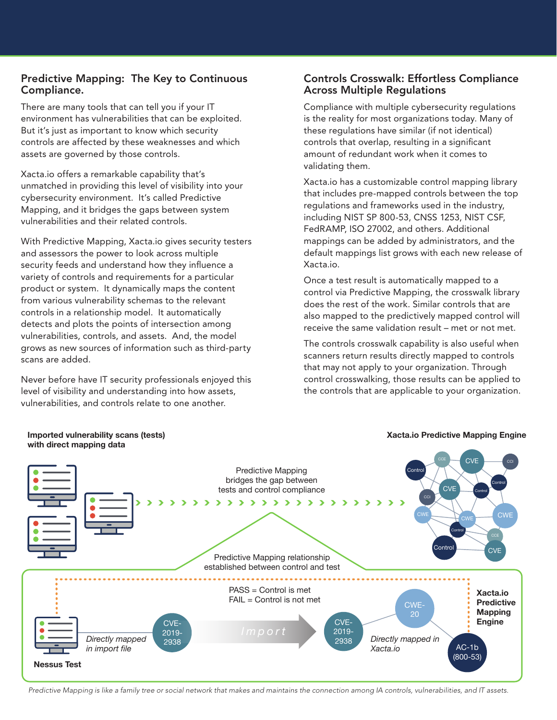#### Predictive Mapping: The Key to Continuous Compliance.

There are many tools that can tell you if your IT environment has vulnerabilities that can be exploited. But it's just as important to know which security controls are affected by these weaknesses and which assets are governed by those controls.

Xacta.io offers a remarkable capability that's unmatched in providing this level of visibility into your cybersecurity environment. It's called Predictive Mapping, and it bridges the gaps between system vulnerabilities and their related controls.

With Predictive Mapping, Xacta.io gives security testers and assessors the power to look across multiple security feeds and understand how they influence a variety of controls and requirements for a particular product or system. It dynamically maps the content from various vulnerability schemas to the relevant controls in a relationship model. It automatically detects and plots the points of intersection among vulnerabilities, controls, and assets. And, the model grows as new sources of information such as third-party scans are added.

Never before have IT security professionals enjoyed this level of visibility and understanding into how assets, vulnerabilities, and controls relate to one another.

#### Controls Crosswalk: Effortless Compliance Across Multiple Regulations

Compliance with multiple cybersecurity regulations is the reality for most organizations today. Many of these regulations have similar (if not identical) controls that overlap, resulting in a significant amount of redundant work when it comes to validating them.

Xacta.io has a customizable control mapping library that includes pre-mapped controls between the top regulations and frameworks used in the industry, including NIST SP 800-53, CNSS 1253, NIST CSF, FedRAMP, ISO 27002, and others. Additional mappings can be added by administrators, and the default mappings list grows with each new release of Xacta.io.

Once a test result is automatically mapped to a control via Predictive Mapping, the crosswalk library does the rest of the work. Similar controls that are also mapped to the predictively mapped control will receive the same validation result – met or not met.

The controls crosswalk capability is also useful when scanners return results directly mapped to controls that may not apply to your organization. Through control crosswalking, those results can be applied to the controls that are applicable to your organization.



Predictive Mapping is like a family tree or social network that makes and maintains the connection among IA controls, vulnerabilities, and IT assets.

# **Imported vulnerability scans (tests)**